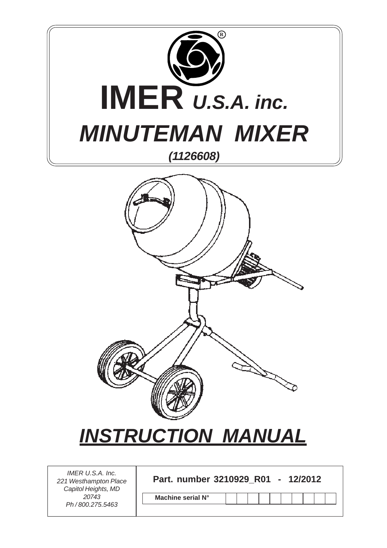



# *INSTRUCTION MANUAL*

| IMER U.S.A. Inc.  |                          |         |
|-------------------|--------------------------|---------|
| Westhampton Place | Part. number 3210929 R01 | 12/2012 |

**Machine serial N°**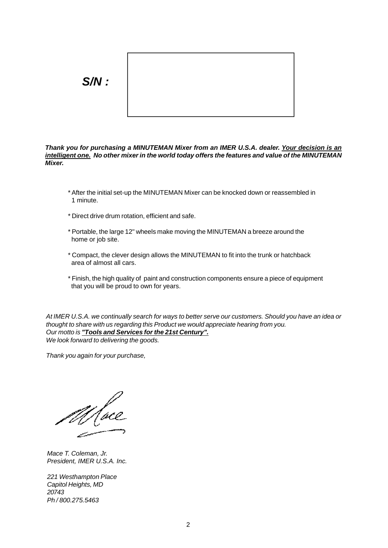

**Thank you for purchasing a MINUTEMAN Mixer from an IMER U.S.A. dealer. Your decision is an intelligent one. No other mixer in the world today offers the features and value of the MINUTEMAN Mixer.**

- 1 minute.
- \* Direct drive drum rotation, efficient and safe.
- \* Portable, the large 12" wheels make moving the MINUTEMAN a breeze around the home or job site.
- \* Compact, the clever design allows the MINUTEMAN to fit into the trunk or hatchback area of almost all cars.
- \* Finish, the high quality of paint and construction components ensure a piece of equipment that you will be proud to own for years.

At IMER U.S.A. we continually search for ways to better serve our customers. Should you have an idea or thought to share with us regarding this Product we would appreciate hearing from you. Our motto is **"Tools and Services for the 21st Century".** We look forward to delivering the goods. \* After the initial set-up the MINUTEMAN Mixer can be knocked down or reassembled in<br>
\* Direct drive drum rotation, efficient and safe.<br>
\* Portable, the large 12" wheels make moving the MINUTEMAN a breeze around the<br>
home

Mace T. Coleman, Jr. President, IMER U.S.A. Inc.

221 Westhampton Place Capitol Heights, MD 20743 Ph / 800.275.5463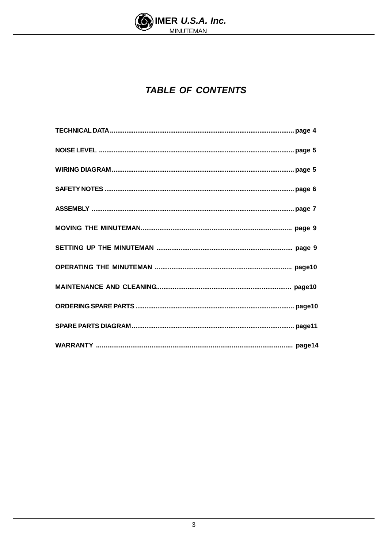

### **TABLE OF CONTENTS**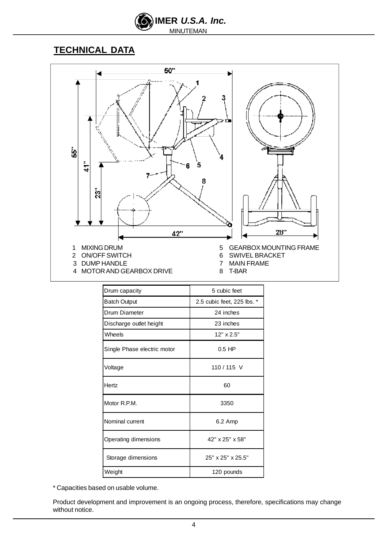

### **TECHNICAL DATA**



| Drum capacity               | 5 cubic feet               |
|-----------------------------|----------------------------|
| <b>Batch Output</b>         | 2.5 cubic feet, 225 lbs. * |
| Drum Diameter               | 24 inches                  |
| Discharge outlet height     | 23 inches                  |
| Wheels                      | $12" \times 2.5"$          |
| Single Phase electric motor | $0.5$ HP                   |
| Voltage                     | 110 / 115 V                |
| Hertz                       | 60                         |
| Motor R.P.M.                | 3350                       |
| Nominal current             | 6.2 Amp                    |
| Operating dimensions        | 42" x 25" x 58"            |
| Storage dimensions          | 25" x 25" x 25.5"          |
| Weight                      | 120 pounds                 |

Product development and improvement is an ongoing process, therefore, specifications may change \* Capacities based on usable volume.<br>Product development and improvement is an ongoing process, therefore, specifications may change<br>without notice.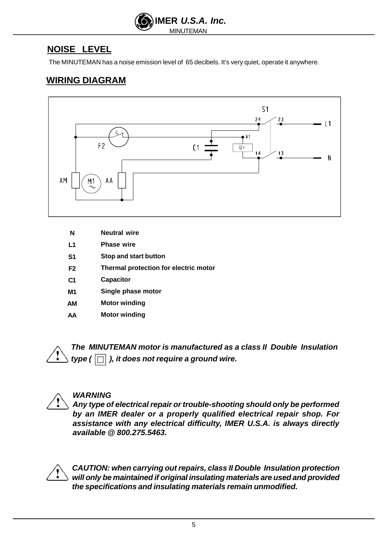

The MINUTEMAN has <sup>a</sup> noise emission level of <sup>65</sup> decibels. It's very quiet, operate it anywhere. **NOISE LEVEL**

### **WIRING DIAGRAM**



- **N Neutral wire** the contract of the contract of the contract of the contract of the contract of the contract of the contract of the contract of the contract of the contract of the contract of the contract of the contrac **Neutral wire**
- L1 Phase wire **the contract of the contract of the contract of the contract of the contract of the contract of the contract of the contract of the contract of the contract of the contract of the contract of the contract of Phase wire**
- State Stop and start button **State State State State State State State State State State State State State State State State State State State State State State State State State State State State State State State State S Stop and start button**
- **F2 Thermal protection for electric motor**
- C1 Capacitor **Capacitor C1** Capacitor **C1** Capacitor **C1 Capacitor**
- **M1 Single phase motor**
- **AM Motor winding**
- **AA Motor winding**





### **WARNING**

**Any type of electrical repair or trouble-shooting should only be performed by an IMER dealer or a properly qualified electrical repair shop. For assistance with any electrical difficulty, IMER U.S.A. is always directly Find MINUTEMAN** motor is manufactured as a class II Double Insulation<br>type (  $\Box$  ), it does not require a ground wire.<br>Any type of electrical repair or trouble-shooting should only be performed<br>by an IMER dealer or a pr



**CAUTION: when carrying out repairs, class II Double Insulation protection will only be maintained if original insulating materials are used and provided the specifications and insulating materials remain unmodified.**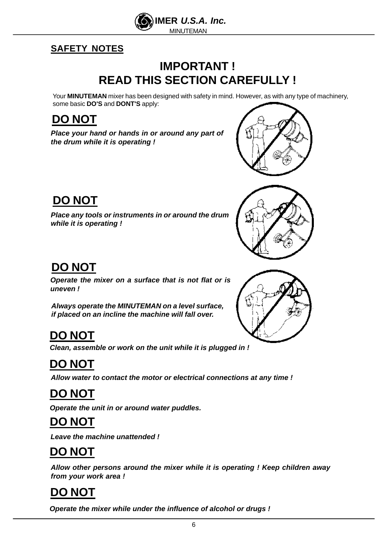

### **SAFETY NOTES**

### **IMPORTANT ! READ THIS SECTION CAREFULLY !**

Your **MINUTEMAN** mixer has been designed with safety in mind. However, as with any type of machinery, some basic **DO'S** and **DONT'S** apply:

**Place your hand or hands in or around any part of the drum while it is operating !** 



**Place any tools or instruments in or around the drum while it is operating !**



**Operate the mixer on a surface that is not flat or is uneven !**

**Always operate the MINUTEMAN on a level surface, if placed on an incline the machine will fall over.**

**Clean, assemble or work on the unit while it is plugged in !**

## **DO NOT**

**Allow water to contact the motor or electrical connections at any time !**

## **DO NOT**

**Operate the unit in or around water puddles.**

### **DO NOT**

**Leave the machine unattended !**

## **DO NOT**

**Allow other persons around the mixer while it is operating ! Keep children away from your work area !**

## **DO NOT**

**Operate the mixer while under the influence of alcohol or drugs !**

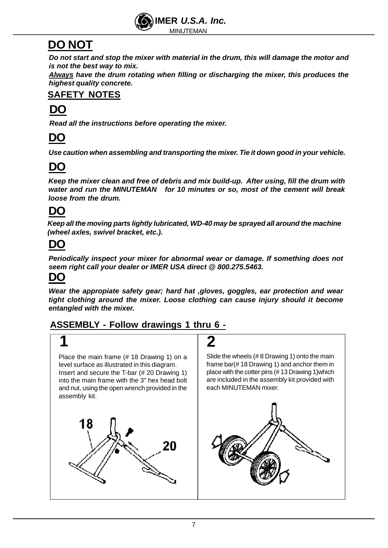

**is not the best way to mix. head of SEC NOT**<br>
Do not start and stop the mixer with material in the drum, this will damage the motor and<br>
is not the best way to mix.<br>
<u>Always</u> have the drum rotating when filling or discharging the mixer, this produce

**Always have the drum rotating when filling or discharging the mixer, this produces the**

### **SAFETY NOTES**

### **DO**

**Read all the instructions before operating the mixer.**

### **DO**

**Use caution when assembling and transporting the mixer. Tie it down good in your vehicle.**

### **DO**

**Keep the mixer clean and free of debris and mix build-up. After using, fill the drum with water and run the MINUTEMAN for 10 minutes or so, most of the cement will break loose from the drum.** Do not start and stop the mixer with material in the drum, this will damage the motor and<br>Is not the best way to mix.<br>Always have the drum rotating when filling or discharging the mixer, this produces the<br>Always have the d

### **DO**

**Keep all the moving parts lightly lubricated, WD-40 may be sprayed all around the machine (wheel axles, swivel bracket, etc.).**

## **DO**

**Periodically inspect your mixer for abnormal wear or damage. If something does not seem right call your dealer or IMER USA direct @800.275.5463.**

**DO**<br>Wear the appropiate safety gear; hard hat ,gloves, goggles, ear protection and wear<br>tight clothing around the mixer. Loose clothing can cause injury should it become<br>entangled with the mixer.<br>ASSEMBLY - Follow drawing **Wear the appropiate safety gear; hard hat ,gloves, goggles, ear protection and wear tight clothing around the mixer. Loose clothing can cause injury should it become**

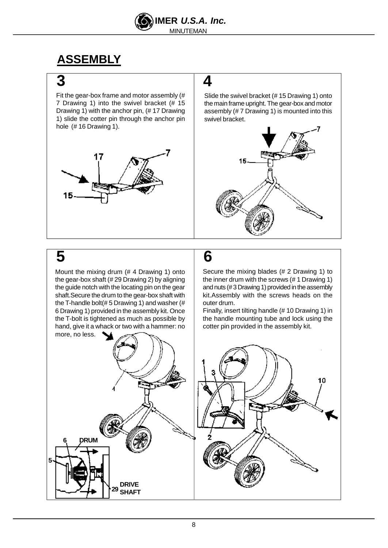

Fit the gear-box frame and motor assembly  $#$  Slide the swivel bracket (#15 Drawing 1) onto 1) slide the cotter pin through the anchor pin  $\parallel$  swivel bracket. **3**<br>
Fit the gear-box frame and motor assembly (#<br>
7 Drawing 1) into the swivel bracket (# 15<br>
Drawing 1) with the anchor pin, (# 17 Drawing<br>
1) slide the cotter pin through the anchor pin<br>
hole (# 16 Drawing 1).<br>
hole (#



7 Drawing 1) into the swivel bracket (# 15  $\,$   $\,$  the main frame upright. The gear-box and motor  $\,$   $\,$   $\,$ Drawing 1) with the anchor pin, (# 17 Drawing  $\hskip1cm \big| \quad$  assembly (# 7 Drawing 1) is mounted into this  $\hskip1cm \big|$ swivel bracket. The state of the state of  $\vert$ 



Mount the mixing drum (# 4 Drawing 1) onto  $\left| \rule{0cm}{.3cm} \right|$  Secure the mixing blades (# 2 Drawing 1) to  $\left| \rule{0cm}{.3cm} \right|$ the T-handle bolt(#5 Drawing 1) and washer  $#$  | outer drum. hand, give it a whack or two with a hammer: no cotter pin provided in the assembly kit.

## **5 6**

the gear-box shaft (# 29 Drawing 2) by aligning  $\qquad \quad \mid \quad$  the inner drum with the screws (# 1 Drawing 1)  $\qquad$   $\mid$ the guide notch with the locating pin on the gear  $\qquad \qquad \quad \quad$  and nuts (#3 Drawing 1) provided in the assembly  $\qquad \qquad \mid$ shaft.Secure the drum to the gear-box shaft with  $\quad \vert \quad$  kit.Assembly with the <code>screws</code> heads on the  $\quad \vert$ Secure the mixing blades (# 2 Drawing 1) to outer drum. The contract of the contract of the contract of the contract of the contract of the contract of the contract of the contract of the contract of the contract of the contract of the contract of the contract of th

6 Drawing 1) provided in the assembly kit. Once  $\qquad \qquad$  Finally, insert tilting handle (# 10 Drawing 1) in  $\qquad$ the T-bolt is tightened as much as possible by  $\quad \vert \quad$  the handle mounting tube and lock using the  $\quad \vert$ 

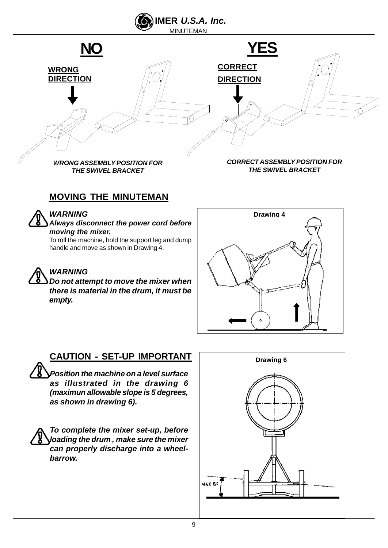



**Always disconnect the power cord before**

To roll the machine, hold the support leg and dump handle and move as shown in Drawing 4.

**Do not attempt to move the mixer when there is material in the drum, it must be**



### **CAUTION - SET-UP IMPORTANT**

**Position the machine on a level surface as illustrated in the drawing 6 (maximun allowable slope is 5 degrees,**

**To complete the mixer set-up, before can properly discharge into a wheel-**

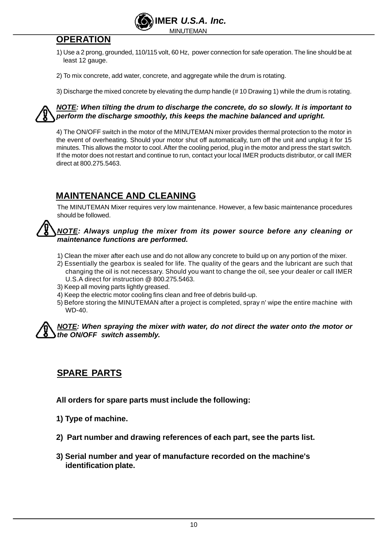

- 1) Use a 2 prong, grounded, 110/115 volt, 60 Hz, power connection for safe operation. The line should be at least 12 gauge.
- 2) To mix concrete, add water, concrete, and aggregate while the drum is rotating.
- 3) Discharge the mixed concrete by elevating the dump handle (# 10 Drawing 1) while the drum is rotating.

### **NOTE: When tilting the drum to discharge the concrete, do so slowly. It is important to perform the discharge smoothly, this keeps the machine balanced and upright.**

4) The ON/OFF switch in the motor of the MINUTEMAN mixer provides thermal protection to the motor in the event of overheating. Should your motor shut off automatically, turn off the unit and unplug it for 15 minutes. This allows the motor to cool.After the cooling period, plug in the motor and press the start switch. If the motor does not restart and continue to run, contact your local IMER products distributor, or call IMER **OPERATION**<br>
1) Use a 2 prong, grounded, 110/115 volt, 60 Hz, power connection for safe operation. The line should be at<br>
least 12 gauge.<br>
2) To mix concrete, add water, concrete, and aggregate while the drum is rotating.<br>

The MINUTEMAN Mixer requires very low maintenance. However, a few basic maintenance procedures should be followed.

### **NOTE: Always unplug the mixer from its power source before any cleaning or maintenance functions are performed.**

- 1) Clean the mixer after each use and do not allow any concrete to build up on any portion of the mixer.
- 2) Essentially the gearbox is sealed for life. The quality of the gears and the lubricant are such that changing the oil is not necessary. Should you want to change the oil, see your dealer or call IMER U.S.A direct for instruction @ 800.275.5463. **INSTRIMANCE AND CLEANING**<br>
The MINUTEMAN Mixer requires very low maintenance. However, a few basic maintenance procedures<br>
should be followed.<br>
<u>NOTE</u>: Always unplug the mixer from its power source before any cleaning or<br>
- 3) Keep all moving parts lightly greased.
- 4) Keep the electric motor cooling fins clean and free of debris build-up.
- 5) Before storing the MINUTEMAN after a project is completed, spray n' wipe the entire machine with wD-40.

## **NOTE: When spraying the mixer with water, do not direct the water onto the motor or**

**All orders for spare parts must include the following:**

- **1) Type of machine.**
- **2) Part number and drawing references of each part, see the parts list.**
- **3) Serial number and year of manufacture recorded on the machine's SPARE PARTS**<br>All orders for spare parts must include the following:<br>1) Type of machine.<br>2) Part number and drawing references of each part, see the parts list.<br>3) Serial number and year of manufacture recorded on the mach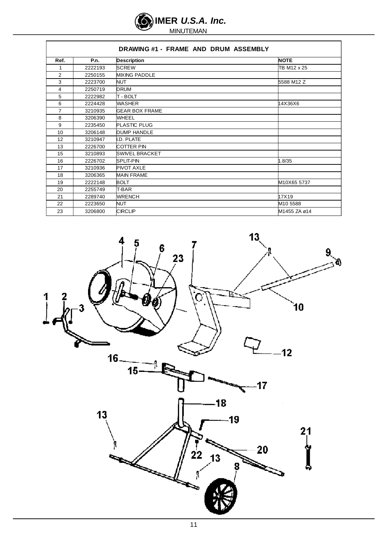

|                 |             | DRAWING #1 - FRAME AND DRUM ASSEMBLY |              |  |
|-----------------|-------------|--------------------------------------|--------------|--|
| Ref.            | <b>P.n.</b> | <b>Description</b>                   | <b>NOTE</b>  |  |
|                 | 2222193     | <b>SCREW</b>                         | TB M12 x 25  |  |
|                 | 2250155     | <b>MIXING PADDLE</b>                 |              |  |
|                 | 2223700     |                                      | 5588 M12 Z   |  |
|                 | 2250719     | <b>DRUM</b>                          |              |  |
|                 | 2222982     | T - BOLT                             |              |  |
|                 | 2224428     | <b>WASHER</b>                        | 14X36X6      |  |
|                 | 3210935     | <b>GEAR BOX FRAME</b>                |              |  |
|                 | 3206390     | <b>WHEEL</b>                         |              |  |
|                 | 2235450     | PLASTIC PLUG                         |              |  |
|                 | 3206148     | <b>DUMP HANDLE</b>                   |              |  |
|                 | 3210947     | I.D. PLATE                           |              |  |
| $\overline{10}$ | 2226700     | COTTER PIN                           |              |  |
| AC              | 3210893     | <b>SWIVEL BRACKET</b>                |              |  |
| 16              | 2226702     | SPLIT-PIN                            | 1 $R/35$     |  |
| 47              | 3210936     | <b>PIVOT AXLE</b>                    |              |  |
|                 | 3206365     | <b>MAIN FRAME</b>                    |              |  |
| 19              | 2222148     | <b>BOLT</b>                          | M10X65 5737  |  |
|                 | 2255749     | T-BAR                                |              |  |
|                 | 2289740     | <b>WRENCH</b>                        | 17X19        |  |
| nn.             | 2223650     | NI IT                                | M10 5588     |  |
| 23              | 3206800     | <b>CIRCLIP</b>                       | M1455 ZA ø14 |  |

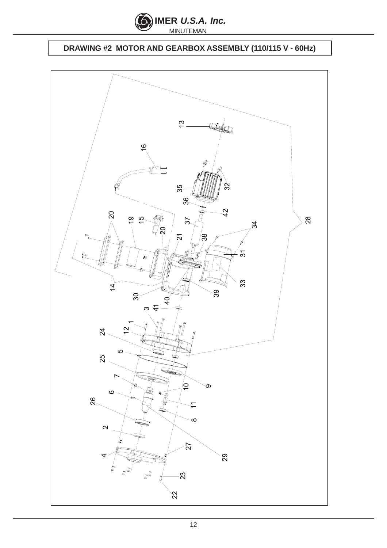

### **DRAWING #2 MOTOR AND GEARBOX ASSEMBLY (110/115 V - 60Hz)**

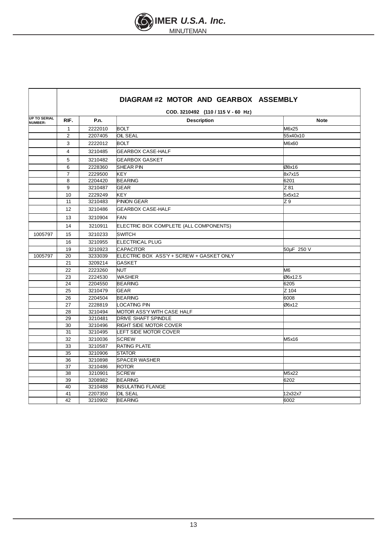

٦

Ē

|                                 |                |                                    | DIAGRAM #2 MOTOR AND GEARBOX ASSEMBLY    |             |  |
|---------------------------------|----------------|------------------------------------|------------------------------------------|-------------|--|
|                                 |                | COD. 3210492 (110 / 115 V - 60 Hz) |                                          |             |  |
| <b>UP TO SERIAL<br/>NUMBER:</b> | RIF.           | P.n.                               | <b>Description</b>                       | <b>Note</b> |  |
|                                 | $\mathbf{1}$   | 2222010                            | <b>BOLT</b>                              | M6x25       |  |
|                                 | 2              | 2207405                            | <b>OIL SEAL</b>                          | 55x40x10    |  |
|                                 | 3              | 2222012                            | <b>BOLT</b>                              | M6x60       |  |
|                                 | 4              | 3210485                            | <b>GEARBOX CASE-HALF</b>                 |             |  |
|                                 | 5              | 3210482                            | <b>GEARBOX GASKET</b>                    |             |  |
|                                 | 6              | 2228360                            | <b>SHEAR PIN</b>                         | Ø8x16       |  |
|                                 | $\overline{7}$ | 2229500                            | <b>KEY</b>                               | 8x7x15      |  |
|                                 | 8              | 2204420                            | <b>BEARING</b>                           | 6201        |  |
|                                 | 9              | 3210487                            | <b>GEAR</b>                              | Z 81        |  |
|                                 | 10             | 2229249                            | KEY                                      | 5x5x12      |  |
|                                 | 11             | 3210483                            | <b>PINION GEAR</b>                       | Z9          |  |
|                                 | 12             | 3210486                            | <b>GEARBOX CASE-HALF</b>                 |             |  |
|                                 | 13             | 3210904                            | <b>FAN</b>                               |             |  |
|                                 | 14             | 3210911                            | ELECTRIC BOX COMPLETE (ALL COMPONENTS)   |             |  |
| 1005797                         | 15             | 3210233                            | <b>SWITCH</b>                            |             |  |
|                                 | 16             | 3210955                            | <b>ELECTRICAL PLUG</b>                   |             |  |
|                                 | 19             | 3210923                            | <b>CAPACITOR</b>                         | 50µF 250 V  |  |
| 1005797                         | 20             | 3233039                            | ELECTRIC BOX ASS'Y + SCREW + GASKET ONLY |             |  |
|                                 | 21             | 3209214                            | <b>GASKET</b>                            |             |  |
|                                 | 22             | 2223260                            | <b>NUT</b>                               | M6          |  |
|                                 | 23             | 2224530                            | <b>WASHER</b>                            | Ø6x12.5     |  |
|                                 | 24             | 2204550                            | <b>BEARING</b>                           | 6205        |  |
|                                 | 25             | 3210479                            | <b>GEAR</b>                              | Z 104       |  |
|                                 | 26             | 2204504                            | <b>BEARING</b>                           | 6008        |  |
|                                 | 27             | 2228819                            | <b>LOCATING PIN</b>                      | Ø6x12       |  |
|                                 | 28             | 3210494                            | MOTOR ASS'Y WITH CASE HALF               |             |  |
|                                 | 29             | 3210481                            | <b>DRIVE SHAFT SPINDLE</b>               |             |  |
|                                 | 30             | 3210496                            | <b>RIGHT SIDE MOTOR COVER</b>            |             |  |
|                                 | 31             | 3210495                            | LEFT SIDE MOTOR COVER                    |             |  |
|                                 | 32             | 3210036                            | <b>SCREW</b>                             | M5x16       |  |
|                                 | 33             | 3210587                            | <b>RATING PLATE</b>                      |             |  |
|                                 | 35             | 3210906                            | <b>STATOR</b>                            |             |  |
|                                 | 36             | 3210898                            | <b>SPACER WASHER</b>                     |             |  |
|                                 | 37             | 3210486                            | <b>ROTOR</b>                             |             |  |
|                                 | 38             | 3210901                            | <b>SCREW</b>                             | M5x22       |  |
|                                 | 39             | 3208982                            | <b>BEARING</b>                           | 6202        |  |
|                                 | 40             | 3210488                            | <b>INSULATING FLANGE</b>                 |             |  |
|                                 | 41             | 2207350                            | <b>OIL SEAL</b>                          | 12x32x7     |  |
|                                 | 42             | 3210902                            | <b>BEARING</b>                           | 6002        |  |